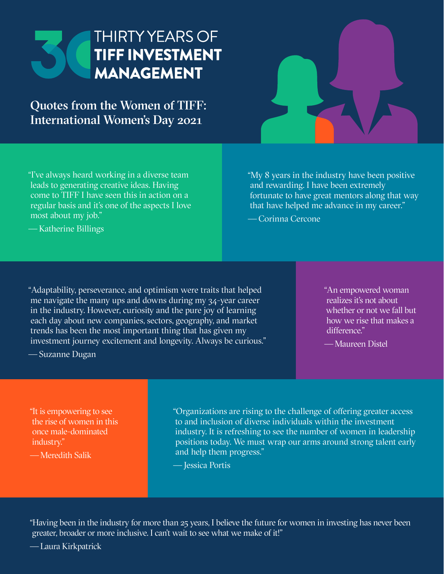

Quotes from the Women of TIFF: International Women's Day 2021



"My 8 years in the industry have been positive and rewarding. I have been extremely fortunate to have great mentors along that way that have helped me advance in my career."

— Corinna Cercone

— Katherine Billings

"Adaptability, perseverance, and optimism were traits that helped me navigate the many ups and downs during my 34-year career in the industry. However, curiosity and the pure joy of learning each day about new companies, sectors, geography, and market trends has been the most important thing that has given my investment journey excitement and longevity. Always be curious."

"An empowered woman realizes it's not about whether or not we fall but how we rise that makes a difference."

— Maureen Distel

— Suzanne Dugan

"It is empowering to see the rise of women in this once male-dominated industry."

— Meredith Salik

"Organizations are rising to the challenge of offering greater access to and inclusion of diverse individuals within the investment industry. It is refreshing to see the number of women in leadership positions today. We must wrap our arms around strong talent early and help them progress."

— Jessica Portis

"Having been in the industry for more than 25 years, I believe the future for women in investing has never been greater, broader or more inclusive. I can't wait to see what we make of it!"

— Laura Kirkpatrick